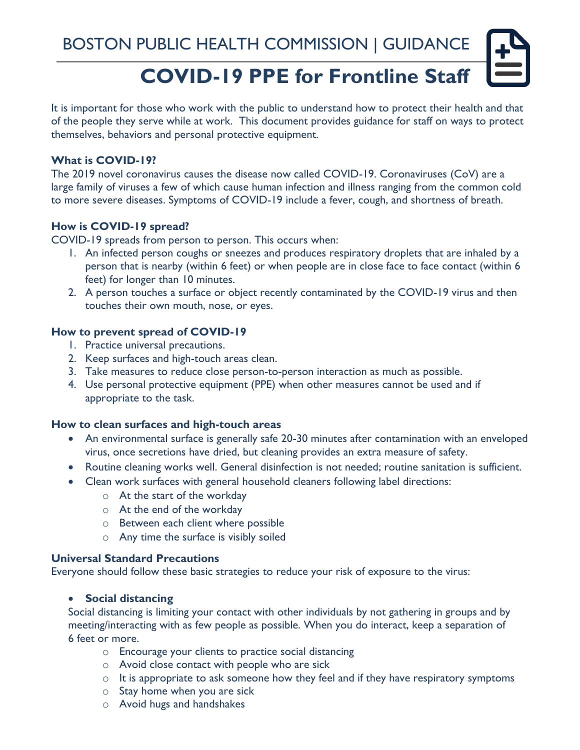# **COVID-19 PPE for Frontline Staff**

It is important for those who work with the public to understand how to protect their health and that of the people they serve while at work. This document provides guidance for staff on ways to protect themselves, behaviors and personal protective equipment.

#### **What is COVID-19?**

The 2019 novel coronavirus causes the disease now called COVID-19. Coronaviruses (CoV) are a large family of viruses a few of which cause human infection and illness ranging from the common cold to more severe diseases. Symptoms of COVID-19 include a fever, cough, and shortness of breath.

# **How is COVID-19 spread?**

COVID-19 spreads from person to person. This occurs when:

- 1. An infected person coughs or sneezes and produces respiratory droplets that are inhaled by a person that is nearby (within 6 feet) or when people are in close face to face contact (within 6 feet) for longer than 10 minutes.
- 2. A person touches a surface or object recently contaminated by the COVID-19 virus and then touches their own mouth, nose, or eyes.

#### **How to prevent spread of COVID-19**

- 1. Practice universal precautions.
- 2. Keep surfaces and high-touch areas clean.
- 3. Take measures to reduce close person-to-person interaction as much as possible.
- 4. Use personal protective equipment (PPE) when other measures cannot be used and if appropriate to the task.

#### **How to clean surfaces and high-touch areas**

- An environmental surface is generally safe 20-30 minutes after contamination with an enveloped virus, once secretions have dried, but cleaning provides an extra measure of safety.
- Routine cleaning works well. General disinfection is not needed; routine sanitation is sufficient.
- Clean work surfaces with general household cleaners following label directions:
	- o At the start of the workday
	- o At the end of the workday
	- o Between each client where possible
	- o Any time the surface is visibly soiled

## **Universal Standard Precautions**

Everyone should follow these basic strategies to reduce your risk of exposure to the virus:

#### • **Social distancing**

Social distancing is limiting your contact with other individuals by not gathering in groups and by meeting/interacting with as few people as possible. When you do interact, keep a separation of 6 feet or more.

- o Encourage your clients to practice social distancing
- o Avoid close contact with people who are sick
- o It is appropriate to ask someone how they feel and if they have respiratory symptoms
- o Stay home when you are sick
- o Avoid hugs and handshakes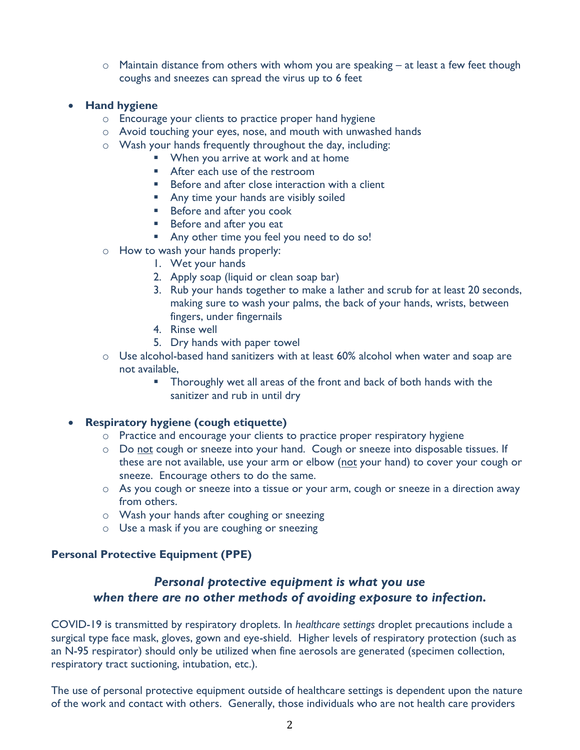- $\circ$  Maintain distance from others with whom you are speaking at least a few feet though coughs and sneezes can spread the virus up to 6 feet
- **Hand hygiene**
	- o Encourage your clients to practice proper hand hygiene
	- o Avoid touching your eyes, nose, and mouth with unwashed hands
	- o Wash your hands frequently throughout the day, including:
		- When you arrive at work and at home
		- After each use of the restroom
		- Before and after close interaction with a client
		- **E** Any time your hands are visibly soiled
		- Before and after you cook
		- Before and after you eat
		- Any other time you feel you need to do so!
	- o How to wash your hands properly:
		- 1. Wet your hands
		- 2. Apply soap (liquid or clean soap bar)
		- 3. Rub your hands together to make a lather and scrub for at least 20 seconds, making sure to wash your palms, the back of your hands, wrists, between fingers, under fingernails
		- 4. Rinse well
		- 5. Dry hands with paper towel
	- o Use alcohol-based hand sanitizers with at least 60% alcohol when water and soap are not available,
		- Thoroughly wet all areas of the front and back of both hands with the sanitizer and rub in until dry

## • **Respiratory hygiene (cough etiquette)**

- o Practice and encourage your clients to practice proper respiratory hygiene
- o Do not cough or sneeze into your hand. Cough or sneeze into disposable tissues. If these are not available, use your arm or elbow (not your hand) to cover your cough or sneeze. Encourage others to do the same.
- o As you cough or sneeze into a tissue or your arm, cough or sneeze in a direction away from others.
- o Wash your hands after coughing or sneezing
- $\circ$  Use a mask if you are coughing or sneezing

## **Personal Protective Equipment (PPE)**

# *Personal protective equipment is what you use when there are no other methods of avoiding exposure to infection.*

COVID-19 is transmitted by respiratory droplets. In *healthcare settings* droplet precautions include a surgical type face mask, gloves, gown and eye-shield. Higher levels of respiratory protection (such as an N-95 respirator) should only be utilized when fine aerosols are generated (specimen collection, respiratory tract suctioning, intubation, etc.).

The use of personal protective equipment outside of healthcare settings is dependent upon the nature of the work and contact with others. Generally, those individuals who are not health care providers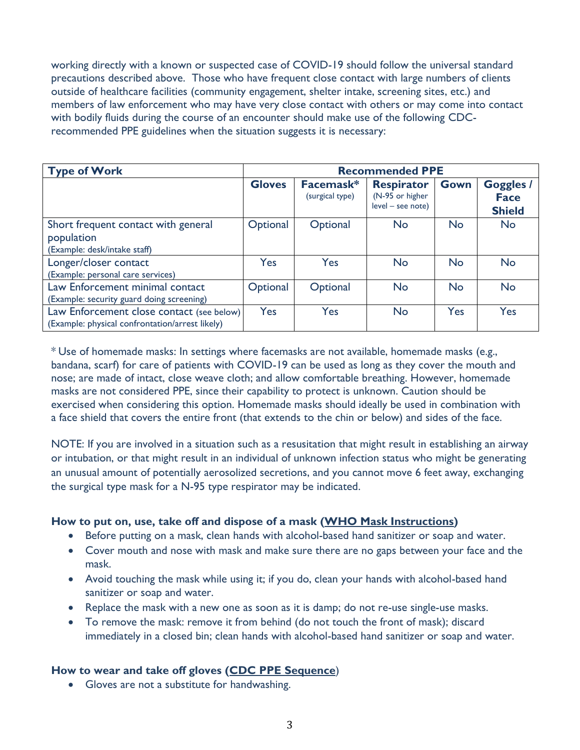working directly with a known or suspected case of COVID-19 should follow the universal standard precautions described above. Those who have frequent close contact with large numbers of clients outside of healthcare facilities (community engagement, shelter intake, screening sites, etc.) and members of law enforcement who may have very close contact with others or may come into contact with bodily fluids during the course of an encounter should make use of the following CDCrecommended PPE guidelines when the situation suggests it is necessary:

| <b>Type of Work</b>                                                                          | <b>Recommended PPE</b> |                              |                                                           |           |                                                  |
|----------------------------------------------------------------------------------------------|------------------------|------------------------------|-----------------------------------------------------------|-----------|--------------------------------------------------|
|                                                                                              | <b>Gloves</b>          | Facemask*<br>(surgical type) | <b>Respirator</b><br>(N-95 or higher<br>level - see note) | Gown      | <b>Goggles /</b><br><b>Face</b><br><b>Shield</b> |
| Short frequent contact with general<br>population<br>(Example: desk/intake staff)            | Optional               | Optional                     | <b>No</b>                                                 | <b>No</b> | <b>No</b>                                        |
| Longer/closer contact<br>(Example: personal care services)                                   | Yes                    | Yes                          | <b>No</b>                                                 | <b>No</b> | <b>No</b>                                        |
| Law Enforcement minimal contact<br>(Example: security guard doing screening)                 | Optional               | Optional                     | <b>No</b>                                                 | <b>No</b> | <b>No</b>                                        |
| Law Enforcement close contact (see below)<br>(Example: physical confrontation/arrest likely) | Yes                    | Yes                          | <b>No</b>                                                 | Yes       | Yes                                              |

\* Use of homemade masks: In settings where facemasks are not available, homemade masks (e.g., bandana, scarf) for care of patients with COVID-19 can be used as long as they cover the mouth and nose; are made of intact, close weave cloth; and allow comfortable breathing. However, homemade masks are not considered PPE, since their capability to protect is unknown. Caution should be exercised when considering this option. Homemade masks should ideally be used in combination with a face shield that covers the entire front (that extends to the chin or below) and sides of the face.

NOTE: If you are involved in a situation such as a resusitation that might result in establishing an airway or intubation, or that might result in an individual of unknown infection status who might be generating an unusual amount of potentially aerosolized secretions, and you cannot move 6 feet away, exchanging the surgical type mask for a N-95 type respirator may be indicated.

## **How to put on, use, take off and dispose of a mask [\(WHO Mask Instructions\)](https://gcc02.safelinks.protection.outlook.com/?url=https%3A%2F%2Fwww.who.int%2Femergencies%2Fdiseases%2Fnovel-coronavirus-2019%2Fadvice-for-public%2Fwhen-and-how-to-use-masks&data=02%7C01%7CPShoemaker%40bphc.org%7Cd317fb3355d84d62ca1d08d7cc52268d%7Cff5b5bc8925b471f942aeb176c03ab36%7C1%7C0%7C637202525520276196&sdata=LToTstFV9f4XzBmq062gUwAPKr7rieAei%2Ft7H6Jpj4Q%3D&reserved=0)**

- Before putting on a mask, clean hands with alcohol-based hand sanitizer or soap and water.
- Cover mouth and nose with mask and make sure there are no gaps between your face and the mask.
- Avoid touching the mask while using it; if you do, clean your hands with alcohol-based hand sanitizer or soap and water.
- Replace the mask with a new one as soon as it is damp; do not re-use single-use masks.
- To remove the mask: remove it from behind (do not touch the front of mask); discard immediately in a closed bin; clean hands with alcohol-based hand sanitizer or soap and water.

## **How to wear and take off gloves [\(CDC PPE Sequence](https://www.cdc.gov/hai/pdfs/ppe/ppe-sequence.pdf)**)

• Gloves are not a substitute for handwashing.